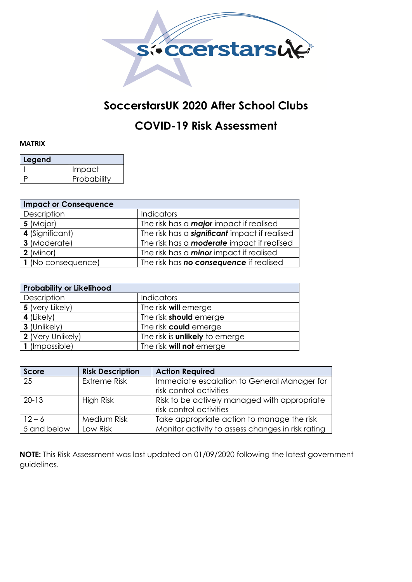

## **SoccerstarsUK 2020 After School Clubs**

## **COVID-19 Risk Assessment**

## **MATRIX**

| Legend |             |  |  |  |  |  |  |  |
|--------|-------------|--|--|--|--|--|--|--|
|        | Impact      |  |  |  |  |  |  |  |
|        | Probability |  |  |  |  |  |  |  |

| <b>Impact or Consequence</b> |                                                      |  |  |  |  |  |  |
|------------------------------|------------------------------------------------------|--|--|--|--|--|--|
| Description                  | <b>Indicators</b>                                    |  |  |  |  |  |  |
| 5 (Major)                    | The risk has a <b>major</b> impact if realised       |  |  |  |  |  |  |
| 4 (Significant)              | The risk has a <b>significant</b> impact if realised |  |  |  |  |  |  |
| 3 (Moderate)                 | The risk has a <b>moderate</b> impact if realised    |  |  |  |  |  |  |
| $2$ (Minor)                  | The risk has a <b>minor</b> impact if realised       |  |  |  |  |  |  |
| 1 (No consequence)           | The risk has <b>no consequence</b> if realised       |  |  |  |  |  |  |

| <b>Probability or Likelihood</b> |                                       |  |  |  |  |  |  |
|----------------------------------|---------------------------------------|--|--|--|--|--|--|
| Description                      | <b>Indicators</b>                     |  |  |  |  |  |  |
| 5 (very Likely)                  | The risk <b>will</b> emerge           |  |  |  |  |  |  |
| 4 (Likely)                       | The risk <b>should</b> emerge         |  |  |  |  |  |  |
| 3 (Unlikely)                     | The risk could emerge                 |  |  |  |  |  |  |
| 2 (Very Unlikely)                | The risk is <b>unlikely</b> to emerge |  |  |  |  |  |  |
| 1 (Impossible)                   | The risk <b>will not</b> emerge       |  |  |  |  |  |  |

| <b>Score</b> | <b>Risk Description</b> | <b>Action Required</b>                            |  |
|--------------|-------------------------|---------------------------------------------------|--|
| 25           | <b>Extreme Risk</b>     | Immediate escalation to General Manager for       |  |
|              |                         | risk control activities                           |  |
| $20-13$      | High Risk               | Risk to be actively managed with appropriate      |  |
|              |                         | risk control activities                           |  |
| $12 - 6$     | Medium Risk             | Take appropriate action to manage the risk        |  |
| 5 and below  | Low Risk                | Monitor activity to assess changes in risk rating |  |

**NOTE:** This Risk Assessment was last updated on 01/09/2020 following the latest government guidelines.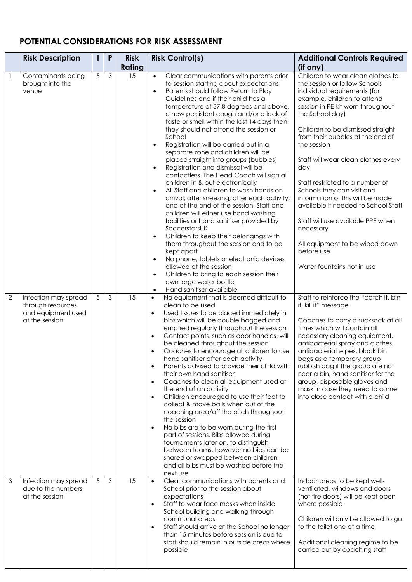## **POTENTIAL CONSIDERATIONS FOR RISK ASSESSMENT**

|                | <b>Risk Description</b>                                                           |   | P              | <b>Risk</b>   | <b>Risk Control(s)</b>                                                                                                                                                                                                                                                                                                                                                                                                                                                                                                                                                                                                                                                                                                                                                                                                                                                                                                                                                                                                                                                                                                                                                        | <b>Additional Controls Required</b>                                                                                                                                                                                                                                                                                                                                                                                                                                                                                                                                                                         |
|----------------|-----------------------------------------------------------------------------------|---|----------------|---------------|-------------------------------------------------------------------------------------------------------------------------------------------------------------------------------------------------------------------------------------------------------------------------------------------------------------------------------------------------------------------------------------------------------------------------------------------------------------------------------------------------------------------------------------------------------------------------------------------------------------------------------------------------------------------------------------------------------------------------------------------------------------------------------------------------------------------------------------------------------------------------------------------------------------------------------------------------------------------------------------------------------------------------------------------------------------------------------------------------------------------------------------------------------------------------------|-------------------------------------------------------------------------------------------------------------------------------------------------------------------------------------------------------------------------------------------------------------------------------------------------------------------------------------------------------------------------------------------------------------------------------------------------------------------------------------------------------------------------------------------------------------------------------------------------------------|
|                |                                                                                   |   |                | <b>Rating</b> |                                                                                                                                                                                                                                                                                                                                                                                                                                                                                                                                                                                                                                                                                                                                                                                                                                                                                                                                                                                                                                                                                                                                                                               | (if any)                                                                                                                                                                                                                                                                                                                                                                                                                                                                                                                                                                                                    |
| $\overline{1}$ | Contaminants being<br>brought into the<br>venue                                   | 5 | $\mathfrak{Z}$ | 15            | Clear communications with parents prior<br>$\bullet$<br>to session starting about expectations<br>Parents should follow Return to Play<br>$\bullet$<br>Guidelines and if their child has a<br>temperature of 37.8 degrees and above,<br>a new persistent cough and/or a lack of<br>taste or smell within the last 14 days then<br>they should not attend the session or<br>School<br>Registration will be carried out in a<br>$\bullet$<br>separate zone and children will be<br>placed straight into groups (bubbles)<br>Registration and dismissal will be<br>$\bullet$<br>contactless. The Head Coach will sign all<br>children in & out electronically<br>All Staff and children to wash hands on<br>arrival; after sneezing; after each activity;<br>and at the end of the session. Staff and<br>children will either use hand washing<br>facilities or hand sanitiser provided by<br>SoccerstarsUK<br>Children to keep their belongings with<br>them throughout the session and to be<br>kept apart<br>No phone, tablets or electronic devices<br>$\bullet$<br>allowed at the session<br>Children to bring to each session their<br>$\bullet$<br>own large water bottle | Children to wear clean clothes to<br>the session or follow Schools<br>individual requirements (for<br>example, children to attend<br>session in PE kit worn throughout<br>the School day)<br>Children to be dismissed straight<br>from their bubbles at the end of<br>the session<br>Staff will wear clean clothes every<br>day<br>Staff restricted to a number of<br>Schools they can visit and<br>information of this will be made<br>available if needed to School Staff<br>Staff will use available PPE when<br>necessary<br>All equipment to be wiped down<br>before use<br>Water fountains not in use |
| $\overline{2}$ | Infection may spread<br>through resources<br>and equipment used<br>at the session | 5 | 3              | 15            | Hand sanitiser available<br>$\bullet$<br>No equipment that is deemed difficult to<br>$\bullet$<br>clean to be used<br>Used tissues to be placed immediately in<br>$\bullet$<br>bins which will be double bagged and<br>emptied regularly throughout the session<br>Contact points, such as door handles, will<br>$\bullet$<br>be cleaned throughout the session<br>Coaches to encourage all children to use<br>$\bullet$<br>hand sanitiser after each activity<br>Parents advised to provide their child with<br>$\bullet$<br>their own hand sanitiser<br>Coaches to clean all equipment used at<br>$\bullet$<br>the end of an activity<br>Children encouraged to use their feet to<br>$\bullet$<br>collect & move balls when out of the<br>coaching area/off the pitch throughout<br>the session<br>No bibs are to be worn during the first<br>$\bullet$<br>part of sessions. Bibs allowed during<br>tournaments later on, to distinguish<br>between teams, however no bibs can be<br>shared or swapped between children<br>and all bibs must be washed before the<br>next use                                                                                               | Staff to reinforce the "catch it, bin<br>it, kill it" message<br>Coaches to carry a rucksack at all<br>times which will contain all<br>necessary cleaning equipment,<br>antibacterial spray and clothes,<br>antibacterial wipes, black bin<br>bags as a temporary group<br>rubbish bag if the group are not<br>near a bin, hand sanitiser for the<br>group, disposable gloves and<br>mask in case they need to come<br>into close contact with a child                                                                                                                                                      |
| $\mathfrak{Z}$ | Infection may spread<br>due to the numbers<br>at the session                      | 5 | 3              | 15            | Clear communications with parents and<br>$\bullet$<br>School prior to the session about<br>expectations<br>Staff to wear face masks when inside<br>$\bullet$<br>School building and walking through<br>communal areas<br>Staff should arrive at the School no longer<br>$\bullet$<br>than 15 minutes before session is due to<br>start should remain in outside areas where<br>possible                                                                                                                                                                                                                                                                                                                                                                                                                                                                                                                                                                                                                                                                                                                                                                                       | Indoor areas to be kept well-<br>ventilated, windows and doors<br>(not fire doors) will be kept open<br>where possible<br>Children will only be allowed to go<br>to the toilet one at a time<br>Additional cleaning regime to be<br>carried out by coaching staff                                                                                                                                                                                                                                                                                                                                           |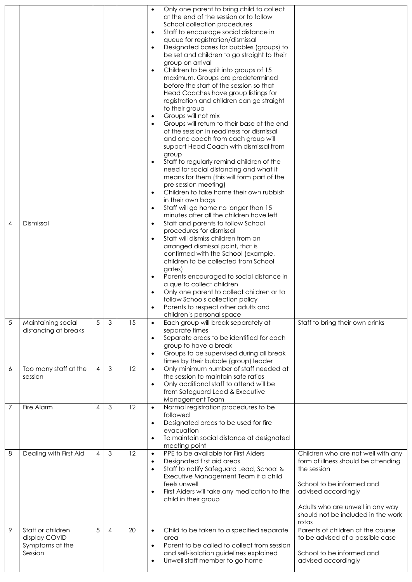|   |                                                                  |                |   |    | Only one parent to bring child to collect<br>$\bullet$<br>at the end of the session or to follow<br>School collection procedures<br>Staff to encourage social distance in<br>$\bullet$<br>queue for registration/dismissal<br>Designated bases for bubbles (groups) to<br>$\bullet$<br>be set and children to go straight to their<br>group on arrival<br>Children to be split into groups of 15<br>$\bullet$<br>maximum. Groups are predetermined<br>before the start of the session so that<br>Head Coaches have group listings for<br>registration and children can go straight<br>to their group<br>Groups will not mix<br>$\bullet$<br>Groups will return to their base at the end<br>$\bullet$<br>of the session in readiness for dismissal<br>and one coach from each group will<br>support Head Coach with dismissal from<br>group<br>Staff to regularly remind children of the<br>$\bullet$<br>need for social distancing and what it<br>means for them (this will form part of the<br>pre-session meeting) |
|---|------------------------------------------------------------------|----------------|---|----|----------------------------------------------------------------------------------------------------------------------------------------------------------------------------------------------------------------------------------------------------------------------------------------------------------------------------------------------------------------------------------------------------------------------------------------------------------------------------------------------------------------------------------------------------------------------------------------------------------------------------------------------------------------------------------------------------------------------------------------------------------------------------------------------------------------------------------------------------------------------------------------------------------------------------------------------------------------------------------------------------------------------|
|   |                                                                  |                |   |    | Children to take home their own rubbish<br>$\bullet$<br>in their own bags<br>Staff will go home no longer than 15<br>$\bullet$<br>minutes after all the children have left                                                                                                                                                                                                                                                                                                                                                                                                                                                                                                                                                                                                                                                                                                                                                                                                                                           |
| 4 | Dismissal                                                        |                |   |    | Staff and parents to follow School<br>$\bullet$<br>procedures for dismissal<br>Staff will dismiss children from an<br>$\bullet$<br>arranged dismissal point, that is<br>confirmed with the School (example,<br>children to be collected from School<br>gates)<br>Parents encouraged to social distance in<br>$\bullet$<br>a que to collect children<br>Only one parent to collect children or to<br>$\bullet$<br>follow Schools collection policy<br>Parents to respect other adults and<br>$\bullet$<br>children's personal space                                                                                                                                                                                                                                                                                                                                                                                                                                                                                   |
| 5 | Maintaining social<br>distancing at breaks                       | 5              | 3 | 15 | Staff to bring their own drinks<br>Each group will break separately at<br>$\bullet$<br>separate times<br>Separate areas to be identified for each<br>$\bullet$<br>group to have a break<br>Groups to be supervised during all break<br>$\bullet$<br>times by their bubble (group) leader                                                                                                                                                                                                                                                                                                                                                                                                                                                                                                                                                                                                                                                                                                                             |
| 6 | Too many staff at the<br>session                                 | 4              | 3 | 12 | Only minimum number of staff needed at<br>$\bullet$<br>the session to maintain safe ratios<br>Only additional staff to attend will be<br>$\bullet$<br>from Safeguard Lead & Executive<br>Management Team                                                                                                                                                                                                                                                                                                                                                                                                                                                                                                                                                                                                                                                                                                                                                                                                             |
| 7 | Fire Alarm                                                       | $\overline{4}$ | 3 | 12 | Normal registration procedures to be<br>$\bullet$<br>followed<br>Designated areas to be used for fire<br>$\bullet$<br>evacuation<br>To maintain social distance at designated<br>$\bullet$<br>meeting point                                                                                                                                                                                                                                                                                                                                                                                                                                                                                                                                                                                                                                                                                                                                                                                                          |
| 8 | Dealing with First Aid                                           | $\overline{4}$ | 3 | 12 | PPE to be available for First Aiders<br>Children who are not well with any<br>$\bullet$<br>Designated first aid areas<br>form of illness should be attending<br>$\bullet$<br>Staff to notify Safeguard Lead, School &<br>the session<br>$\bullet$<br>Executive Management Team if a child<br>feels unwell<br>School to be informed and<br>First Aiders will take any medication to the<br>advised accordingly<br>$\bullet$<br>child in their group<br>Adults who are unwell in any way<br>should not be included in the work<br>rotas                                                                                                                                                                                                                                                                                                                                                                                                                                                                                |
| 9 | Staff or children<br>display COVID<br>Symptoms at the<br>Session | 5              | 4 | 20 | Parents of children at the course<br>Child to be taken to a specified separate<br>$\bullet$<br>to be advised of a possible case<br>area<br>Parent to be called to collect from session<br>$\bullet$<br>and self-isolation guidelines explained<br>School to be informed and<br>Unwell staff member to go home<br>advised accordingly<br>$\bullet$                                                                                                                                                                                                                                                                                                                                                                                                                                                                                                                                                                                                                                                                    |